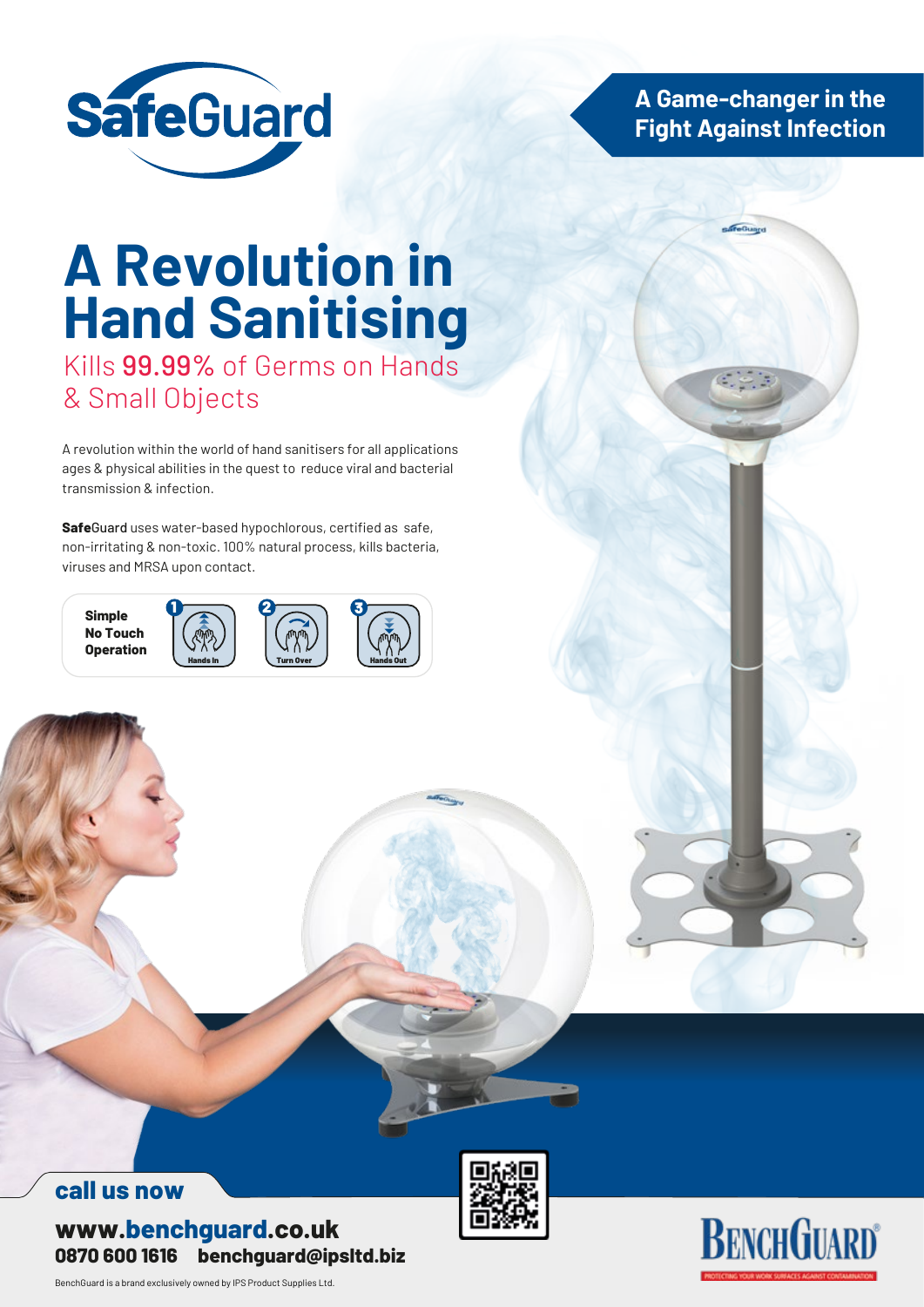

**A Game-changer in the Fight Against Infection**

# **A Revolution in Hand Sanitising**

Kills 99.99% of Germs on Hands & Small Objects

A revolution within the world of hand sanitisers for all applications ages & physical abilities in the quest to reduce viral and bacterial transmission & infection.

**Safe**Guard uses water-based hypochlorous, certified as safe, non-irritating & non-toxic. 100% natural process, kills bacteria, viruses and MRSA upon contact.



# **call us now**

**www.benchguard.co.uk 0870 600 1616 benchguard@ipsltd.biz**